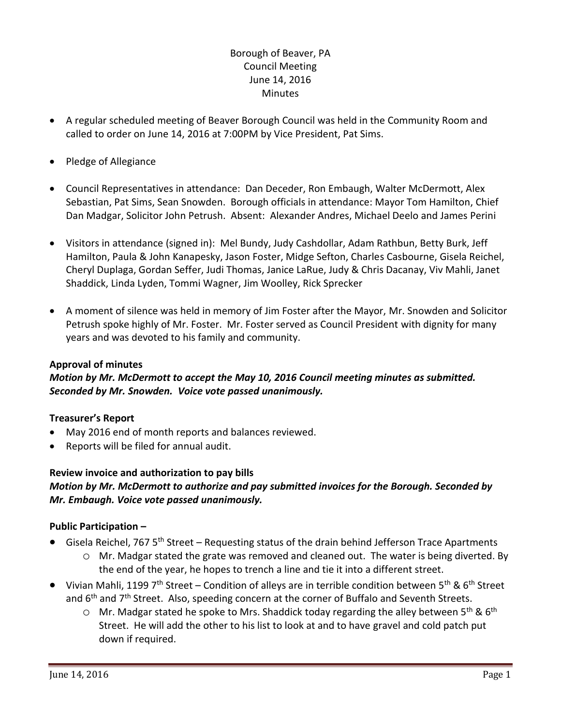# Borough of Beaver, PA Council Meeting June 14, 2016 **Minutes**

- A regular scheduled meeting of Beaver Borough Council was held in the Community Room and called to order on June 14, 2016 at 7:00PM by Vice President, Pat Sims.
- Pledge of Allegiance
- Council Representatives in attendance: Dan Deceder, Ron Embaugh, Walter McDermott, Alex Sebastian, Pat Sims, Sean Snowden. Borough officials in attendance: Mayor Tom Hamilton, Chief Dan Madgar, Solicitor John Petrush. Absent: Alexander Andres, Michael Deelo and James Perini
- Visitors in attendance (signed in): Mel Bundy, Judy Cashdollar, Adam Rathbun, Betty Burk, Jeff Hamilton, Paula & John Kanapesky, Jason Foster, Midge Sefton, Charles Casbourne, Gisela Reichel, Cheryl Duplaga, Gordan Seffer, Judi Thomas, Janice LaRue, Judy & Chris Dacanay, Viv Mahli, Janet Shaddick, Linda Lyden, Tommi Wagner, Jim Woolley, Rick Sprecker
- A moment of silence was held in memory of Jim Foster after the Mayor, Mr. Snowden and Solicitor Petrush spoke highly of Mr. Foster. Mr. Foster served as Council President with dignity for many years and was devoted to his family and community.

### **Approval of minutes**

*Motion by Mr. McDermott to accept the May 10, 2016 Council meeting minutes as submitted. Seconded by Mr. Snowden. Voice vote passed unanimously.* 

### **Treasurer's Report**

- May 2016 end of month reports and balances reviewed.
- Reports will be filed for annual audit.

### **Review invoice and authorization to pay bills**

# *Motion by Mr. McDermott to authorize and pay submitted invoices for the Borough. Seconded by Mr. Embaugh. Voice vote passed unanimously.*

### **Public Participation –**

- Gisela Reichel, 767 5<sup>th</sup> Street Requesting status of the drain behind Jefferson Trace Apartments
	- o Mr. Madgar stated the grate was removed and cleaned out. The water is being diverted. By the end of the year, he hopes to trench a line and tie it into a different street.
- Vivian Mahli, 1199 7<sup>th</sup> Street Condition of alleys are in terrible condition between 5<sup>th</sup> & 6<sup>th</sup> Street and  $6<sup>th</sup>$  and  $7<sup>th</sup>$  Street. Also, speeding concern at the corner of Buffalo and Seventh Streets.
	- $\circ$  Mr. Madgar stated he spoke to Mrs. Shaddick today regarding the alley between 5<sup>th</sup> & 6<sup>th</sup> Street. He will add the other to his list to look at and to have gravel and cold patch put down if required.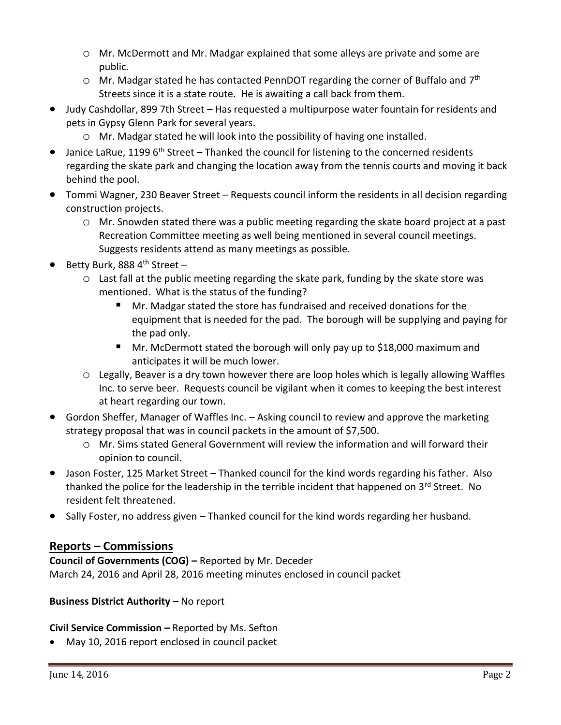- o Mr. McDermott and Mr. Madgar explained that some alleys are private and some are public.
- $\circ$  Mr. Madgar stated he has contacted PennDOT regarding the corner of Buffalo and  $7^{\text{th}}$ Streets since it is a state route. He is awaiting a call back from them.
- Judy Cashdollar, 899 7th Street Has requested a multipurpose water fountain for residents and pets in Gypsy Glenn Park for several years.
	- o Mr. Madgar stated he will look into the possibility of having one installed.
- $\bullet$  Janice LaRue, 1199 6<sup>th</sup> Street Thanked the council for listening to the concerned residents regarding the skate park and changing the location away from the tennis courts and moving it back behind the pool.
- Tommi Wagner, 230 Beaver Street Requests council inform the residents in all decision regarding construction projects.
	- o Mr. Snowden stated there was a public meeting regarding the skate board project at a past Recreation Committee meeting as well being mentioned in several council meetings. Suggests residents attend as many meetings as possible.
- Betty Burk, 888 4<sup>th</sup> Street -
	- $\circ$  Last fall at the public meeting regarding the skate park, funding by the skate store was mentioned. What is the status of the funding?
		- Mr. Madgar stated the store has fundraised and received donations for the equipment that is needed for the pad. The borough will be supplying and paying for the pad only.
		- Mr. McDermott stated the borough will only pay up to \$18,000 maximum and anticipates it will be much lower.
	- o Legally, Beaver is a dry town however there are loop holes which is legally allowing Waffles Inc. to serve beer. Requests council be vigilant when it comes to keeping the best interest at heart regarding our town.
- Gordon Sheffer, Manager of Waffles Inc. Asking council to review and approve the marketing strategy proposal that was in council packets in the amount of \$7,500.
	- o Mr. Sims stated General Government will review the information and will forward their opinion to council.
- Jason Foster, 125 Market Street Thanked council for the kind words regarding his father. Also thanked the police for the leadership in the terrible incident that happened on  $3<sup>rd</sup>$  Street. No resident felt threatened.
- Sally Foster, no address given Thanked council for the kind words regarding her husband.

# **Reports – Commissions**

## **Council of Governments (COG) –** Reported by Mr. Deceder March 24, 2016 and April 28, 2016 meeting minutes enclosed in council packet

# **Business District Authority – No report**

# **Civil Service Commission –** Reported by Ms. Sefton

May 10, 2016 report enclosed in council packet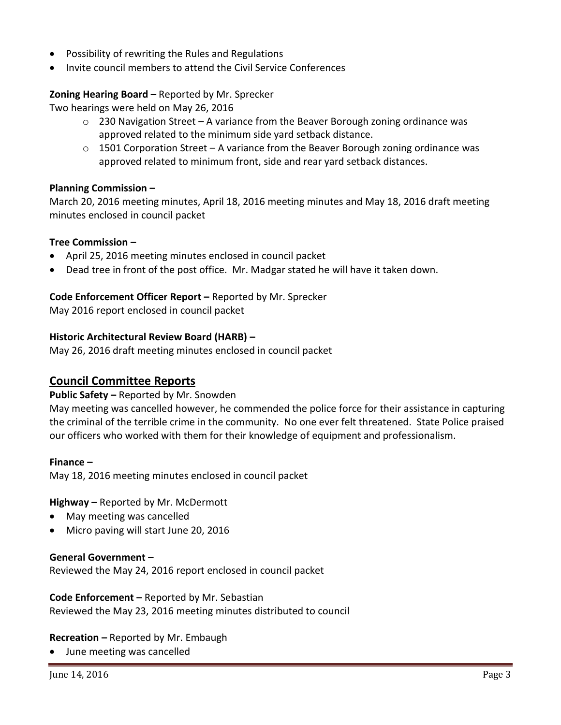- Possibility of rewriting the Rules and Regulations
- Invite council members to attend the Civil Service Conferences

## **Zoning Hearing Board –** Reported by Mr. Sprecker

Two hearings were held on May 26, 2016

- $\circ$  230 Navigation Street A variance from the Beaver Borough zoning ordinance was approved related to the minimum side yard setback distance.
- $\circ$  1501 Corporation Street A variance from the Beaver Borough zoning ordinance was approved related to minimum front, side and rear yard setback distances.

### **Planning Commission –**

March 20, 2016 meeting minutes, April 18, 2016 meeting minutes and May 18, 2016 draft meeting minutes enclosed in council packet

#### **Tree Commission –**

- April 25, 2016 meeting minutes enclosed in council packet
- Dead tree in front of the post office. Mr. Madgar stated he will have it taken down.

#### **Code Enforcement Officer Report –** Reported by Mr. Sprecker

May 2016 report enclosed in council packet

#### **Historic Architectural Review Board (HARB) –**

May 26, 2016 draft meeting minutes enclosed in council packet

# **Council Committee Reports**

#### **Public Safety –** Reported by Mr. Snowden

May meeting was cancelled however, he commended the police force for their assistance in capturing the criminal of the terrible crime in the community. No one ever felt threatened. State Police praised our officers who worked with them for their knowledge of equipment and professionalism.

#### **Finance –**

May 18, 2016 meeting minutes enclosed in council packet

**Highway –** Reported by Mr. McDermott

- May meeting was cancelled
- Micro paving will start June 20, 2016

#### **General Government –**

Reviewed the May 24, 2016 report enclosed in council packet

**Code Enforcement –** Reported by Mr. Sebastian Reviewed the May 23, 2016 meeting minutes distributed to council

### **Recreation –** Reported by Mr. Embaugh

June meeting was cancelled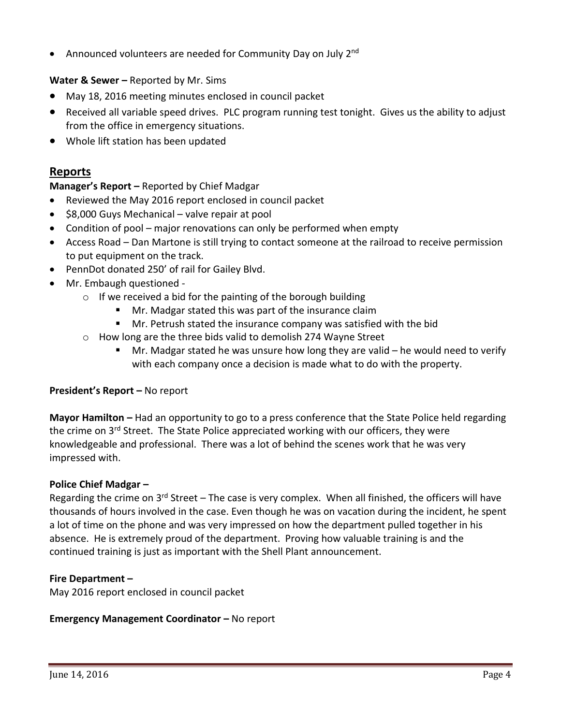• Announced volunteers are needed for Community Day on July 2<sup>nd</sup>

# **Water & Sewer -** Reported by Mr. Sims

- May 18, 2016 meeting minutes enclosed in council packet
- Received all variable speed drives. PLC program running test tonight. Gives us the ability to adjust from the office in emergency situations.
- Whole lift station has been updated

# **Reports**

# **Manager's Report –** Reported by Chief Madgar

- Reviewed the May 2016 report enclosed in council packet
- $\bullet$  \$8,000 Guys Mechanical valve repair at pool
- Condition of pool major renovations can only be performed when empty
- Access Road Dan Martone is still trying to contact someone at the railroad to receive permission to put equipment on the track.
- PennDot donated 250' of rail for Gailey Blvd.
- Mr. Embaugh questioned -
	- $\circ$  If we received a bid for the painting of the borough building
		- **Mr. Madgar stated this was part of the insurance claim**
		- Mr. Petrush stated the insurance company was satisfied with the bid
	- o How long are the three bids valid to demolish 274 Wayne Street
		- Mr. Madgar stated he was unsure how long they are valid he would need to verify with each company once a decision is made what to do with the property.

# **President's Report –** No report

**Mayor Hamilton –** Had an opportunity to go to a press conference that the State Police held regarding the crime on  $3<sup>rd</sup>$  Street. The State Police appreciated working with our officers, they were knowledgeable and professional. There was a lot of behind the scenes work that he was very impressed with.

### **Police Chief Madgar –**

Regarding the crime on  $3^{rd}$  Street – The case is very complex. When all finished, the officers will have thousands of hours involved in the case. Even though he was on vacation during the incident, he spent a lot of time on the phone and was very impressed on how the department pulled together in his absence. He is extremely proud of the department. Proving how valuable training is and the continued training is just as important with the Shell Plant announcement.

### **Fire Department –**

May 2016 report enclosed in council packet

### **Emergency Management Coordinator - No report**